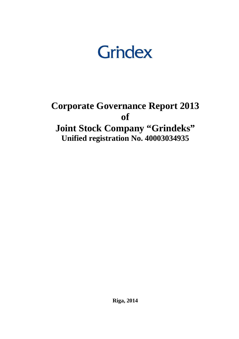

# **Corporate Governance Report 2013 of Joint Stock Company "Grindeks" Unified registration No. 40003034935**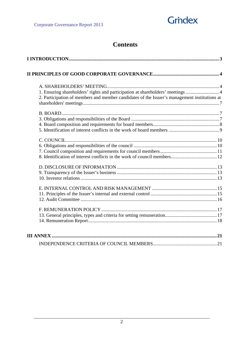

## **Contents**

| 1. Ensuring shareholders' rights and participation at shareholders' meetings  4<br>2. Participation of members and member candidates of the Issuer's management institutions at |
|---------------------------------------------------------------------------------------------------------------------------------------------------------------------------------|
|                                                                                                                                                                                 |
|                                                                                                                                                                                 |
|                                                                                                                                                                                 |
|                                                                                                                                                                                 |
|                                                                                                                                                                                 |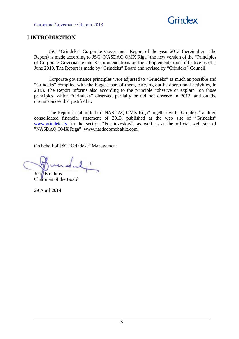

## **I INTRODUCTION**

 JSC "Grindeks" Corporate Governance Report of the year 2013 (hereinafter - the Report) is made according to JSC "NASDAQ OMX Riga" the new version of the "Principles of Corporate Governance and Recommendations on their Implementation", effective as of 1 June 2010. The Report is made by "Grindeks" Board and revised by "Grindeks" Council.

 Corporate governance principles were adjusted to "Grindeks" as much as possible and "Grindeks" complied with the biggest part of them, carrying out its operational activities, in 2013. The Report informs also according to the principle "observe or explain" on those principles, which "Grindeks" observed partially or did not observe in 2013, and on the circumstances that justified it.

 The Report is submitted to "NASDAQ OMX Riga" together with "Grindeks" audited consolidated financial statement of 2013, published at the web site of "Grindeks" www.grindeks.lv, in the section "For investors", as well as at the official web site of "NASDAQ OMX Riga" www.nasdaqomxbaltic.com.

On behalf of JSC "Grindeks" Management

 $\nu$  --2  $\mu$ 

Juris Bundulis Chairman of the Board

29 April 2014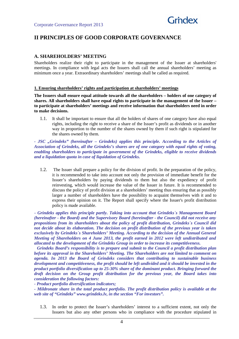

## **II PRINCIPLES OF GOOD CORPORATE GOVERNANCE**

#### **A. SHAREHOLDERS' MEETING**

Shareholders realize their right to participate in the management of the Issuer at shareholders' meetings. In compliance with legal acts the Issuers shall call the annual shareholders' meeting as minimum once a year. Extraordinary shareholders' meetings shall be called as required.

#### **1. Ensuring shareholders' rights and participation at shareholders' meetings**

**The Issuers shall ensure equal attitude towards all the shareholders – holders of one category of shares. All shareholders shall have equal rights to participate in the management of the Issuer – to participate at shareholders' meetings and receive information that shareholders need in order to make decisions.** 

1.1. It shall be important to ensure that all the holders of shares of one category have also equal rights, including the right to receive a share of the Issuer's profit as dividends or in another way in proportion to the number of the shares owned by them if such right is stipulated for the shares owned by them.

*- JSC "Grindeks" (hereinafter – Grindeks) applies this principle. According to the Articles of Association of Grindeks, all the Grindeks's shares are of one category with equal rights of voting, enabling shareholders to participate in government of the Grindeks, eligible to receive dividends and a liquidation quota in case of liquidation of Grindeks.* 

1.2. The Issuer shall prepare a policy for the division of profit. In the preparation of the policy, it is recommended to take into account not only the provision of immediate benefit for the Issuer's shareholders by paying dividends to them but also the expediency of profit reinvesting, which would increase the value of the Issuer in future. It is recommended to discuss the policy of profit division at a shareholders' meeting thus ensuring that as possibly larger a number of shareholders have the possibility to acquaint themselves with it and to express their opinion on it. The Report shall specify where the Issuer's profit distribution policy is made available.

*- Grindeks applies this principle partly. Taking into account that Grindeks`s Management Board (hereinafter - the Board) and the Supervisory Board (hereinafter - the Council) did not receive any propositions from its shareholders about the policy of profit distribution, Grindeks`s Council did not decide about its elaboration. The decision on profit distribution of the previous year is taken exclusively by Grindeks`s Shareholders' Meeting. According to the decision of the Annual General Meeting of Shareholders on 4 June 2013, the profit earned in 2012 were left undistributed and allocated to the development of the Grindeks Group in order to increase its competitiveness.* 

 *Grindeks Board's responsibility is to prepare and submit to the Council a profit distribution plan before its approval in the Shareholders' Meeting. The Shareholders are not limited to comment on agenda. In 2013 the Board of Grindeks considers that contributing to sustainable business development and competitiveness, the profit should be left undivided and it should be invested in the product portfolio diversification up to 25-30% share of the dominant product. Bringing forward the draft decision on the Group profit distribution for the previous year, the Board takes into consideration the following factors:* 

*- Product portfolio diversification indicators;* 

*- Mildronate share in the total product portfolio. The profit distribution policy is available at the web site of "Grindeks" www.grindeks.lv, in the section "For investors".* 

1.3. In order to protect the Issuer's shareholders' interest to a sufficient extent, not only the Issuers but also any other persons who in compliance with the procedure stipulated in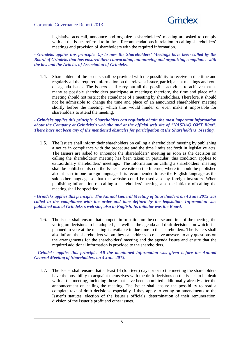

legislative acts call, announce and organize a shareholders' meeting are asked to comply with all the issues referred to in these Recommendations in relation to calling shareholders' meetings and provision of shareholders with the required information.

*- Grindeks applies this principle. Up to now the Shareholders' Meetings have been called by the Board of Grindeks that has ensured their convocation, announcing and organizing compliance with the law and the Articles of Association of Grindeks.* 

1.4. Shareholders of the Issuers shall be provided with the possibility to receive in due time and regularly all the required information on the relevant Issuer, participate at meetings and vote on agenda issues. The Issuers shall carry out all the possible activities to achieve that as many as possible shareholders participate at meetings; therefore, the time and place of a meeting should not restrict the attendance of a meeting by shareholders. Therefore, it should not be admissible to change the time and place of an announced shareholders' meeting shortly before the meeting, which thus would hinder or even make it impossible for shareholders to attend the meeting.

*- Grindeks applies this principle. Shareholders can regularly obtain the most important information about the Company at Grindeks`s web site and at the official web site of "NASDAQ OMX Riga". There have not been any of the mentioned obstacles for participation at the Shareholders' Meeting.* 

1.5. The Issuers shall inform their shareholders on calling a shareholders' meeting by publishing a notice in compliance with the procedure and the time limits set forth in legislative acts. The Issuers are asked to announce the shareholders' meeting as soon as the decision on calling the shareholders' meeting has been taken; in particular, this condition applies to extraordinary shareholders' meetings. The information on calling a shareholders' meeting shall be published also on the Issuer's website on the Internet, where it should be published also at least in one foreign language. It is recommended to use the English language as the said other language so that the website could be used also by foreign investors. When publishing information on calling a shareholders' meeting, also the initiator of calling the meeting shall be specified.

#### *- Grindeks applies this principle. The Annual General Meeting of Shareholders on 4 June 2013 was called in the compliance with the order and time defined by the legislation. Information was published also at Grindeks`s web site, also in English. Its initiator was the Board.*

1.6. The Issuer shall ensure that compete information on the course and time of the meeting, the voting on decisions to be adopted , as well as the agenda and draft decisions on which it is planned to vote at the meeting is available in due time to the shareholders. The Issuers shall also inform the shareholders whom they can address to receive answers to any questions on the arrangements for the shareholders' meeting and the agenda issues and ensure that the required additional information is provided to the shareholders.

#### *- Grindeks applies this principle. All the mentioned information was given before the Annual General Meeting of Shareholders on 4 June 2013.*

1.7. The Issuer shall ensure that at least 14 (fourteen) days prior to the meeting the shareholders have the possibility to acquaint themselves with the draft decisions on the issues to be dealt with at the meeting, including those that have been submitted additionally already after the announcement on calling the meeting. The Issuer shall ensure the possibility to read a complete text of draft decisions, especially if they apply to voting on amendments to the Issuer's statutes, election of the Issuer's officials, determination of their remuneration, division of the Issuer's profit and other issues.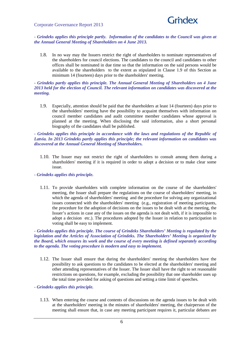

*- Grindeks applies this principle partly. Information of the candidates to the Council was given at the Annual General Meeting of Shareholders on 4 June 2013.* 

1.8. In no way may the Issuers restrict the right of shareholders to nominate representatives of the shareholders for council elections. The candidates to the council and candidates to other offices shall be nominated in due time so that the information on the said persons would be available to the shareholders to the extent as stipulated in Clause 1.9 of this Section as minimum 14 (fourteen) days prior to the shareholders' meeting.

#### *- Grindeks partly applies this principle. The Annual General Meeting of Shareholders on 4 June 2013 held for the election of Council. The relevant information on candidates was discovered at the meeting.*

1.9. Especially, attention should be paid that the shareholders at least 14 (fourteen) days prior to the shareholders' meeting have the possibility to acquaint themselves with information on council member candidates and audit committee member candidates whose approval is planned at the meeting. When disclosing the said information, also a short personal biography of the candidates shall be published.

*- Grindeks applies this principle in accordance with the laws and regulations of the Republic of Latvia. In 2013 Grindeks partly applies this principle; the relevant information on candidates was discovered at the Annual General Meeting of Shareholders.*

- 1.10. The Issuer may not restrict the right of shareholders to consult among them during a shareholders' meeting if it is required in order to adopt a decision or to make clear some issue.
- *Grindeks applies this principle.* 
	- 1.11. To provide shareholders with complete information on the course of the shareholders' meeting, the Issuer shall prepare the regulations on the course of shareholders' meeting, in which the agenda of shareholders' meeting and the procedure for solving any organizational issues connected with the shareholders' meeting (e.g., registration of meeting participants, the procedure for the adoption of decisions on the issues to be dealt with at the meeting, the Issuer's actions in case any of the issues on the agenda is not dealt with, if it is impossible to adopt a decision etc.). The procedures adopted by the Issuer in relation to participation in voting shall be easy to implement.

*- Grindeks applies this principle. The course of Grindeks Shareholders' Meeting is regulated by the legislation and the Articles of Association of Grindeks. The Shareholders' Meeting is organized by the Board, which ensures its work and the course of every meeting is defined separately according to the agenda. The voting procedure is modern and easy to implement.* 

- 1.12. The Issuer shall ensure that during the shareholders' meeting the shareholders have the possibility to ask questions to the candidates to be elected at the shareholders' meeting and other attending representatives of the Issuer. The Issuer shall have the right to set reasonable restrictions on questions, for example, excluding the possibility that one shareholder uses up the total time provided for asking of questions and setting a time limit of speeches.
- *Grindeks applies this principle.* 
	- 1.13. When entering the course and contents of discussions on the agenda issues to be dealt with at the shareholders' meeting in the minutes of shareholders' meeting, the chairperson of the meeting shall ensure that, in case any meeting participant requires it, particular debates are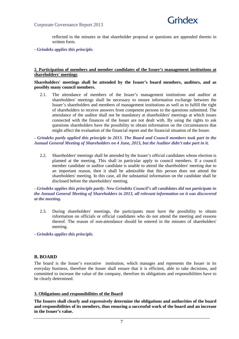

reflected in the minutes or that shareholder proposal or questions are appended thereto in written form.

*- Grindeks applies this principle.*

#### **2. Participation of members and member candidates of the Issuer's management institutions at shareholders' meetings**

#### **Shareholders' meetings shall be attended by the Issuer's board members, auditors, and as possibly many council members.**

2.1. The attendance of members of the Issuer's management institutions and auditor at shareholders' meetings shall be necessary to ensure information exchange between the Issuer's shareholders and members of management institutions as well as to fulfill the right of shareholders to receive answers from competent persons to the questions submitted. The attendance of the auditor shall not be mandatory at shareholders' meetings at which issues connected with the finances of the Issuer are not dealt with. By using the rights to ask questions shareholders have the possibility to obtain information on the circumstances that might affect the evaluation of the financial report and the financial situation of the Issuer.

#### *- Grindeks partly applied this principle in 2013. The Board and Council members took part in the Annual General Meeting of Shareholders on 4 June, 2013, but the Auditor didn't take part in it.*

2.2. Shareholders' meetings shall be attended by the Issuer's official candidates whose election is planned at the meeting. This shall in particular apply to council members. If a council member candidate or auditor candidate is unable to attend the shareholders' meeting due to an important reason, then it shall be admissible that this person does not attend the shareholders' meeting. In this case, all the substantial information on the candidate shall be disclosed before the shareholders' meeting.

#### *- Grindeks applies this principle partly. New Grindeks Council's all candidates did not participate in the Annual General Meeting of Shareholders in 2013, all relevant information on it was discovered at the meeting.*

2.3. During shareholders' meetings, the participants must have the possibility to obtain information on officials or official candidates who do not attend the meeting and reasons thereof. The reason of non-attendance should be entered in the minutes of shareholders' meeting.

*- Grindeks applies this principle.* 

## **B. BOARD**

The board is the Issuer's executive institution, which manages and represents the Issuer in its everyday business, therefore the Issuer shall ensure that it is efficient, able to take decisions, and committed to increase the value of the company, therefore its obligations and responsibilities have to be clearly determined.

#### **3. Obligations and responsibilities of the Board**

**The Issuers shall clearly and expressively determine the obligations and authorities of the board and responsibilities of its members, thus ensuring a successful work of the board and an increase in the Issuer's value.**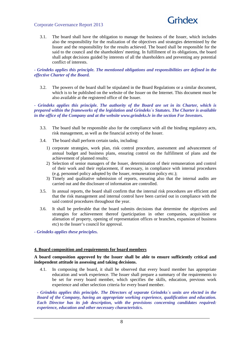

3.1. The board shall have the obligation to manage the business of the Issuer, which includes also the responsibility for the realization of the objectives and strategies determined by the Issuer and the responsibility for the results achieved. The board shall be responsible for the said to the council and the shareholders' meeting. In fulfillment of its obligations, the board shall adopt decisions guided by interests of all the shareholders and preventing any potential conflict of interests.

#### *- Grindeks applies this principle. The mentioned obligations and responsibilities are defined in the effective Charter of the Board.*

3.2. The powers of the board shall be stipulated in the Board Regulations or a similar document, which is to be published on the website of the Issuer on the Internet. This document must be also available at the registered office of the Issuer.

*- Grindeks applies this principle. The authority of the Board are set in its Charter, which is prepared within the frameworks of the legislation and Grindeks`s Statutes. The Charter is available in the office of the Company and at the website www.grindeks.lv in the section For Investors.* 

- 3.3. The board shall be responsible also for the compliance with all the binding regulatory acts, risk management, as well as the financial activity of the Issuer.
- 3.4. The board shall perform certain tasks, including:
	- 1) corporate strategies, work plan, risk control procedure, assessment and advancement of annual budget and business plans, ensuring control on the fulfillment of plans and the achievement of planned results;
	- 2) Selection of senior managers of the Issuer, determination of their remuneration and control of their work and their replacement, if necessary, in compliance with internal procedures (e.g. personnel policy adopted by the Issuer, remuneration policy etc.);
	- 3) Timely and qualitative submission of reports, ensuring also that the internal audits are carried out and the disclosure of information are controlled.
- 3.5. In annual reports, the board shall confirm that the internal risk procedures are efficient and that the risk management and internal control have been carried out in compliance with the said control procedures throughout the year.
- 3.6. It shall be preferable that the board submits decisions that determine the objectives and strategies for achievement thereof (participation in other companies, acquisition or alienation of property, opening of representation offices or branches, expansion of business etc) to the Issuer's council for approval.
- *Grindeks applies these principles.*

#### **4. Board composition and requirements for board members**

#### **A board composition approved by the Issuer shall be able to ensure sufficiently critical and independent attitude in assessing and taking decisions.**

4.1. In composing the board, it shall be observed that every board member has appropriate education and work experience. The Issuer shall prepare a summary of the requirements to be set for every board member, which specifies the skills, education, previous work experience and other selection criteria for every board member.

*- Grindeks applies this principle. The Directors of separate Grindeks`s units are elected in the Board of the Company, having an appropriate working experience, qualification and education. Each Director has its job description, with the provisions concerning candidates required: experience, education and other necessary characteristics.*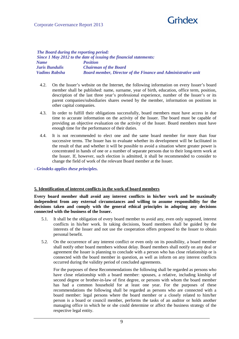## Grndex

#### Corporate Governance Report 2013

*The Board during the reporting period: Since 1 May 2012 to the date of issuing the financial statements: Name Position Juris Bundulis Chairman of the Board Vadims Rabsha Board member, Director of the Finance and Administrative unit* 

- 4.2. On the Issuer's website on the Internet, the following information on every Issuer's board member shall be published: name, surname, year of birth, education, office term, position, description of the last three year's professional experience, number of the Issuer's or its parent companies/subsidiaries shares owned by the member, information on positions in other capital companies.
- 4.3. In order to fulfill their obligations successfully, board members must have access in due time to accurate information on the activity of the Issuer. The board must be capable of providing an objective evaluation on the activity of the Issuer. Board members must have enough time for the performance of their duties.
- 4.4. It is not recommended to elect one and the same board member for more than four successive terms. The Issuer has to evaluate whether its development will be facilitated in the result of that and whether it will be possible to avoid a situation where greater power is concentrated in hands of one or a number of separate persons due to their long-term work at the Issuer. If, however, such election is admitted, it shall be recommended to consider to change the field of work of the relevant Board member at the Issuer.

*- Grindeks applies these principles.* 

#### **5. Identification of interest conflicts in the work of board members**

**Every board member shall avoid any interest conflicts in his/her work and be maximally independent from any external circumstances and willing to assume responsibility for the decisions taken and comply with the general ethical principles in adopting any decisions connected with the business of the Issuer.** 

- 5.1. It shall be the obligation of every board member to avoid any, even only supposed, interest conflicts in his/her work. In taking decisions, board members shall be guided by the interests of the Issuer and not use the cooperation offers proposed to the Issuer to obtain personal benefit.
- 5.2. On the occurrence of any interest conflict or even only on its possibility, a board member shall notify other board members without delay. Board members shall notify on any deal or agreement the Issuer is planning to conclude with a person who has close relationship or is connected with the board member in question, as well as inform on any interest conflicts occurred during the validity period of concluded agreements.

For the purposes of these Recommendations the following shall be regarded as persons who have close relationship with a board member: spouses, a relative, including kinship of second degree or brother-in-law of first degree, or persons with whom the board member has had a common household for at least one year. For the purposes of these recommendations the following shall be regarded as persons who are connected with a board member: legal persons where the board member or a closely related to him/her person is a board or council member, performs the tasks of an auditor or holds another managing office in which he or she could determine or affect the business strategy of the respective legal entity.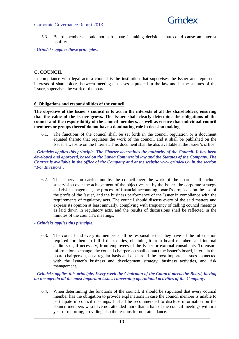

- 5.3. Board members should not participate in taking decisions that could cause an interest conflict.
- *Grindeks applies these principles.*

#### **C. COUNCIL**

In compliance with legal acts a council is the institution that supervises the Issuer and represents interests of shareholders between meetings in cases stipulated in the law and in the statutes of the Issuer, supervises the work of the board.

#### **6. Obligations and responsibilities of the council**

**The objective of the Issuer's council is to act in the interests of all the shareholders, ensuring that the value of the Issuer grows. The Issuer shall clearly determine the obligations of the council and the responsibility of the council members, as well as ensure that individual council members or groups thereof do not have a dominating role in decision making.**

6.1. The functions of the council shall be set forth in the council regulation or a document equated thereto that regulates the work of the council, and it shall be published on the Issuer's website on the Internet. This document shall be also available at the Issuer's office.

*- Grindeks applies this principle. The Charter determines the authority of the Council. It has been developed and approved, based on the Latvia Commercial law and the Statutes of the Company. The Charter is available in the office of the Company and at the website www.grindeks.lv in the section "For Investors".* 

- 6.2. The supervision carried out by the council over the work of the board shall include supervision over the achievement of the objectives set by the Issuer, the corporate strategy and risk management, the process of financial accounting, board's proposals on the use of the profit of the Issuer, and the business performance of the Issuer in compliance with the requirements of regulatory acts. The council should discuss every of the said matters and express its opinion at least annually, complying with frequency of calling council meetings as laid down in regulatory acts, and the results of discussions shall be reflected in the minutes of the council's meetings.
- *Grindeks applies this principle.* 
	- 6.3. The council and every its member shall be responsible that they have all the information required for them to fulfill their duties, obtaining it from board members and internal auditors or, if necessary, from employees of the Issuer or external consultants. To ensure information exchange, the council chairperson shall contact the Issuer's board, inter alia the board chairperson, on a regular basis and discuss all the most important issues connected with the Issuer's business and development strategy, business activities, and risk management.

*- Grindeks applies this principle. Every week the Chairman of the Council meets the Board, having on the agenda all the most important issues concerning operational activities of the Company.* 

6.4. When determining the functions of the council, it should be stipulated that every council member has the obligation to provide explanations in case the council member is unable to participate in council meetings. It shall be recommended to disclose information on the council members who have not attended more than a half of the council meetings within a year of reporting, providing also the reasons for non-attendance.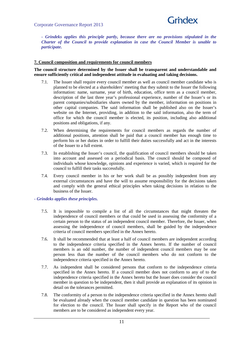

*- Grindeks applies this principle partly, because there are no provisions stipulated in the Charter of the Council to provide explanation in case the Council Member is unable to participate.* 

#### **7. Council composition and requirements for council members**

#### **The council structure determined by the Issuer shall be transparent and understandable and ensure sufficiently critical and independent attitude in evaluating and taking decisions.**

- 7.1. The Issuer shall require every council member as well as council member candidate who is planned to be elected at a shareholders' meeting that they submit to the Issuer the following information: name, surname, year of birth, education, office term as a council member, description of the last three year's professional experience, number of the Issuer's or its parent companies/subsidiaries shares owned by the member, information on positions in other capital companies. The said information shall be published also on the Issuer's website on the Internet, providing, in addition to the said information, also the term of office for which the council member is elected, its position, including also additional positions and obligations, if any.
- 7.2. When determining the requirements for council members as regards the number of additional positions, attention shall be paid that a council member has enough time to perform his or her duties in order to fulfill their duties successfully and act in the interests of the Issuer to a full extent.
- 7.3. In establishing the Issuer's council, the qualification of council members should be taken into account and assessed on a periodical basis. The council should be composed of individuals whose knowledge, opinions and experience is varied, which is required for the council to fulfill their tasks successfully.
- 7.4. Every council member in his or her work shall be as possibly independent from any external circumstances and have the will to assume responsibility for the decisions taken and comply with the general ethical principles when taking decisions in relation to the business of the Issuer.
- *Grindeks applies these principles.* 
	- 7.5. It is impossible to compile a list of all the circumstances that might threaten the independence of council members or that could be used in assessing the conformity of a certain person to the status of an independent council member. Therefore, the Issuer, when assessing the independence of council members, shall be guided by the independence criteria of council members specified in the Annex hereto.
	- 7.6. It shall be recommended that at least a half of council members are independent according to the independence criteria specified in the Annex hereto. If the number of council members is an odd number, the number of independent council members may be one person less than the number of the council members who do not conform to the independence criteria specified in the Annex hereto.
	- 7.7. As independent shall be considered persons that conform to the independence criteria specified in the Annex hereto. If a council member does not conform to any of to the independence criteria specified in the Annex hereto but the Issuer does consider the council member in question to be independent, then it shall provide an explanation of its opinion in detail on the tolerances permitted.
	- 7.8. The conformity of a person to the independence criteria specified in the Annex hereto shall be evaluated already when the council member candidate in question has been nominated for election to the council. The Issuer shall specify in the Report who of the council members are to be considered as independent every year.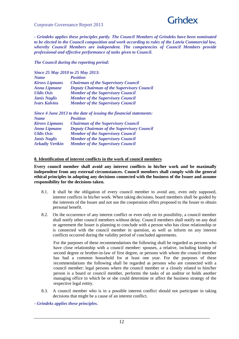

*- Grindeks applies these principles partly. The Council Members of Grindeks have been nominated to be elected in the Council composition and work according to rules of the Latvia Commercial law, whereby Council Members are independent. The competencies of Council Members provide professional and effective performance of tasks given to Council.* 

#### *The Council during the reporting period:*

|                       | Since 25 May 2010 to 25 May 2013:                 |
|-----------------------|---------------------------------------------------|
| <b>Name</b>           | <b>Position</b>                                   |
| <b>Kirovs Lipmans</b> | <b>Chairman of the Supervisory Council</b>        |
| <b>Anna Lipmane</b>   | <b>Deputy Chairman of the Supervisory Council</b> |
| <b>Uldis Osis</b>     | <b>Member of the Supervisory Council</b>          |

| <b>UMMO USM</b><br><b>Janis Naglis</b> | member of the supervisory council<br><b>Member of the Supervisory Council</b> |
|----------------------------------------|-------------------------------------------------------------------------------|
| <b>Ivars Kalvins</b>                   | <b>Member of the Supervisory Council</b>                                      |
|                                        |                                                                               |

| Since 4 June 2013 to the date of issuing the financial statements: |                                                   |  |
|--------------------------------------------------------------------|---------------------------------------------------|--|
| <b>Name</b>                                                        | <b>Position</b>                                   |  |
| <b>Kirovs Lipmans</b>                                              | <b>Chairman of the Supervisory Council</b>        |  |
| <b>Anna Lipmane</b>                                                | <b>Deputy Chairman of the Supervisory Council</b> |  |
| <b>Uldis Osis</b>                                                  | <b>Member of the Supervisory Council</b>          |  |
| <b>Janis Naglis</b>                                                | <b>Member of the Supervisory Council</b>          |  |
| <b>Arkadiy Vertkin</b>                                             | <b>Member of the Supervisory Council</b>          |  |

#### **8. Identification of interest conflicts in the work of council members**

**Every council member shall avoid any interest conflicts in his/her work and be maximally independent from any external circumstances. Council members shall comply with the general ethical principles in adopting any decisions connected with the business of the Issuer and assume responsibility for the decisions taken.** 

- 8.1. It shall be the obligation of every council member to avoid any, even only supposed, interest conflicts in his/her work. When taking decisions, board members shall be guided by the interests of the Issuer and not use the cooperation offers proposed to the Issuer to obtain personal benefit.
- 8.2. On the occurrence of any interest conflict or even only on its possibility, a council member shall notify other council members without delay. Council members shall notify on any deal or agreement the Issuer is planning to conclude with a person who has close relationship or is connected with the council member in question, as well as inform on any interest conflicts occurred during the validity period of concluded agreements.

For the purposes of these recommendations the following shall be regarded as persons who have close relationship with a council member: spouses, a relative, including kinship of second degree or brother-in-law of first degree, or persons with whom the council member has had a common household for at least one year. For the purposes of these recommendations the following shall be regarded as persons who are connected with a council member: legal persons where the council member or a closely related to him/her person is a board or council member, performs the tasks of an auditor or holds another managing office in which he or she could determine or affect the business strategy of the respective legal entity.

- 8.3. A council member who is in a possible interest conflict should not participate in taking decisions that might be a cause of an interest conflict.
- *Grindeks applies these principles.*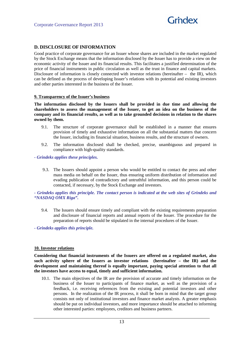

## **D. DISCLOSURE OF INFORMATION**

Good practice of corporate governance for an Issuer whose shares are included in the market regulated by the Stock Exchange means that the information disclosed by the Issuer has to provide a view on the economic activity of the Issuer and its financial results. This facilitates a justified determination of the price of financial instruments in public circulation as well as the trust in finance and capital markets. Disclosure of information is closely connected with investor relations (hereinafter – the IR), which can be defined as the process of developing Issuer's relations with its potential and existing investors and other parties interested in the business of the Issuer.

#### **9. Transparency of the Issuer's business**

**The information disclosed by the Issuers shall be provided in due time and allowing the shareholders to assess the management of the Issuer, to get an idea on the business of the company and its financial results, as well as to take grounded decisions in relation to the shares owned by them.** 

- 9.1. The structure of corporate governance shall be established in a manner that ensures provision of timely and exhaustive information on all the substantial matters that concern the Issuer, including its financial situation, business results, and the structure of owners.
- 9.2. The information disclosed shall be checked, precise, unambiguous and prepared in compliance with high-quality standards.
- *Grindeks applies these principles.* 
	- 9.3. The Issuers should appoint a person who would be entitled to contact the press and other mass media on behalf on the Issuer, thus ensuring uniform distribution of information and evading publication of contradictory and untruthful information, and this person could be contacted, if necessary, by the Stock Exchange and investors.

#### *- Grindeks applies this principle. The contact person is indicated at the web sites of Grindeks and "NASDAQ OMX Riga".*

9.4. The Issuers should ensure timely and compliant with the existing requirements preparation and disclosure of financial reports and annual reports of the Issuer. The procedure for the preparation of reports should be stipulated in the internal procedures of the Issuer.

*- Grindeks applies this principle.* 

#### **10. Investor relations**

**Considering that financial instruments of the Issuers are offered on a regulated market, also such activity sphere of the Issuers as investor relations (hereinafter – the IR) and the development and maintaining thereof is equally important, paying special attention to that all the investors have access to equal, timely and sufficient information.** 

10.1. The main objectives of the IR are the provision of accurate and timely information on the business of the Issuer to participants of finance market, as well as the provision of a feedback, i.e. receiving references from the existing and potential investors and other persons. In the realization of the IR process, it shall be born in mind that the target group consists not only of institutional investors and finance market analysts. A greater emphasis should be put on individual investors, and more importance should be attached to informing other interested parties: employees, creditors and business partners.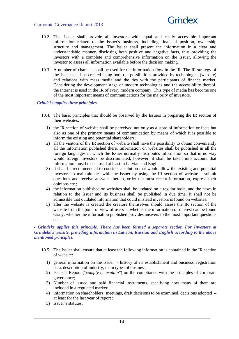

- 10.2. The Issuer shall provide all investors with equal and easily accessible important information related to the Issuer's business, including financial position, ownership structure and management. The Issuer shall present the information in a clear and understandable manner, disclosing both positive and negative facts, thus providing the investors with a complete and comprehensive information on the Issuer, allowing the investor to assess all information available before the decision making.
- 10.3. A number of channels shall be used for the information flow in the IR. The IR strategy of the Issuer shall be created using both the possibilities provided by technologies (website) and relations with mass media and the ties with the participants of finance market. Considering the development stage of modern technologies and the accessibility thereof, the Internet is used in the IR of every modern company. This type of media has become one of the most important means of communications for the majority of investors.
- *Grindeks applies these principles.* 
	- 10.4. The basic principles that should be observed by the Issuers in preparing the IR section of their websites:
		- 1) the IR section of website shall be perceived not only as a store of information or facts but also as one of the primary means of communication by means of which it is possible to inform the existing and potential shareholders;
		- 2) all the visitors of the IR section of website shall have the possibility to obtain conveniently all the information published there. Information on websites shall be published in all the foreign languages in which the Issuer normally distributes information so that in no way would foreign investors be discriminated, however, it shall be taken into account that information must be disclosed at least in Latvian and English;
		- 3) It shall be recommended to consider a solution that would allow the existing and potential investors to maintain ties with the Issuer by using the IR section of website – submit questions and receive answers thereto, order the most recent information, express their opinions etc.;
		- 4) the information published on websites shall be updated on a regular basis, and the news in relation to the Issuer and its business shall be published in due time. It shall not be admissible that outdated information that could mislead investors is found on websites;
		- 5) after the website is created the creators themselves should assess the IR section of the website from the point of view of users – whether the information of interest can be found easily, whether the information published provides answers to the most important questions etc.

#### *- Grindeks applies this principle. There has been formed a separate section For Investors at Grindeks`s website, providing information in Latvian, Russian and English according to the above mentioned principles.*

- 10.5. The Issuer shall ensure that at least the following information is contained in the IR section of website:
	- 1) general information on the Issuer history of its establishment and business, registration data, description of industry, main types of business;
	- 2) Issuer's Report ("*comply or explain*") on the compliance with the principles of corporate governance;
	- 3) Number of issued and paid financial instruments, specifying how many of them are included in a regulated market;
	- 4) information on shareholders' meetings, draft decisions to be examined, decisions adopted at least for the last year of report ;
	- 5) Issuer's statutes;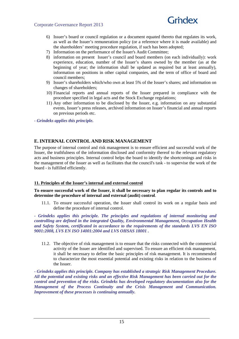

- 6) Issuer's board or council regulation or a document equated thereto that regulates its work, as well as the Issuer's remuneration policy (or a reference where it is made available) and the shareholders' meeting procedure regulation, if such has been adopted;
- 7) Information on the performance of the Issuer's Audit Committee;
- 8) information on present Issuer's council and board members (on each individually): work experience, education, number of the Issuer's shares owned by the member (as at the beginning of year; the information shall be updated as required but at least annually), information on positions in other capital companies, and the term of office of board and council members;
- 9) Issuer's shareholders which/who own at least 5% of the Issuer's shares; and information on changes of shareholders;
- 10) Financial reports and annual reports of the Issuer prepared in compliance with the procedure specified in legal acts and the Stock Exchange regulations;
- 11) Any other information to be disclosed by the Issuer, e.g. information on any substantial events, Issuer's press releases, archived information on Issuer's financial and annual reports on previous periods etc.

*- Grindeks applies this principle.* 

## **E. INTERNAL CONTROL AND RISK MANAGEMENT**

The purpose of internal control and risk management is to ensure efficient and successful work of the Issuer, the truthfulness of the information disclosed and conformity thereof to the relevant regulatory acts and business principles. Internal control helps the board to identify the shortcomings and risks in the management of the Issuer as well as facilitates that the council's task - to supervise the work of the board - is fulfilled efficiently.

#### **11. Principles of the Issuer's internal and external control**

#### **To ensure successful work of the Issuer, it shall be necessary to plan regular its controls and to determine the procedure of internal and external (audit) control**.

11.1. To ensure successful operation, the Issuer shall control its work on a regular basis and define the procedure of internal control.

*- Grindeks applies this principle. The principles and regulations of internal monitoring and controlling are defined in the integrated Quality, Environmental Management, Occupation Health and Safety System, certificated in accordance to the requirements of the standards LVS EN ISO 9001:2008, LVS EN ISO 14001:2004 and LVS OHSAS 18001 .* 

11.2. The objective of risk management is to ensure that the risks connected with the commercial activity of the Issuer are identified and supervised. To ensure an efficient risk management, it shall be necessary to define the basic principles of risk management. It is recommended to characterize the most essential potential and existing risks in relation to the business of the Issuer.

*- Grindeks applies this principle. Company has established a strategic Risk Management Procedure. All the potential and existing risks and an effective Risk Management has been carried out for the control and prevention of the risks. Grindeks has developed regulatory documentation also for the Management of the Process Continuity and the Crisis Management and Communication. Improvement of these processes is continuing annually.*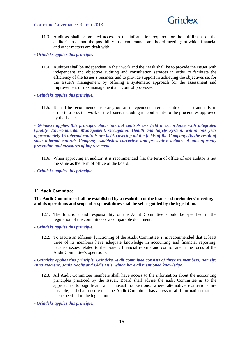

11.3. Auditors shall be granted access to the information required for the fulfillment of the auditor's tasks and the possibility to attend council and board meetings at which financial and other matters are dealt with.

*- Grindeks applies this principle.* 

- 11.4. Auditors shall be independent in their work and their task shall be to provide the Issuer with independent and objective auditing and consultation services in order to facilitate the efficiency of the Issuer's business and to provide support in achieving the objectives set for the Issuer's management by offering a systematic approach for the assessment and improvement of risk management and control processes.
- *Grindeks applies this principle.* 
	- 11.5. It shall be recommended to carry out an independent internal control at least annually in order to assess the work of the Issuer, including its conformity to the procedures approved by the Issuer.

*- Grindeks applies this principle. Such internal controls are held in accordance with integrated Quality, Environmental Management, Occupation Health and Safety System; within one year approximately 15 internal controls are held, covering all the fields of the Company. As the result of such internal controls Company establishes corrective and preventive actions of unconformity prevention and measures of improvement.* 

11.6. When approving an auditor, it is recommended that the term of office of one auditor is not the same as the term of office of the board.

*- Grindeks applies this principle* 

#### **12. Audit Committee**

**The Audit Committee shall be established by a resolution of the Issuer's shareholders' meeting, and its operations and scope of responsibilities shall be set as guided by the legislation.** 

12.1. The functions and responsibility of the Audit Committee should be specified in the regulation of the committee or a comparable document.

*- Grindeks applies this principle.* 

12.2. To assure an efficient functioning of the Audit Committee, it is recommended that at least three of its members have adequate knowledge in accounting and financial reporting, because issues related to the Issuer's financial reports and control are in the focus of the Audit Committee's operations.

*- Grindeks applies this principle. Grindeks Audit committee consists of three its members, namely: Inna Maciene, Janis Naglis and Uldis Osis, which have all mentioned knowledge.* 

12.3. All Audit Committee members shall have access to the information about the accounting principles practiced by the Issuer. Board shall advise the audit Committee as to the approaches to significant and unusual transactions, where alternative evaluations are possible, and shall ensure that the Audit Committee has access to all information that has been specified in the legislation.

*- Grindeks applies this principle.*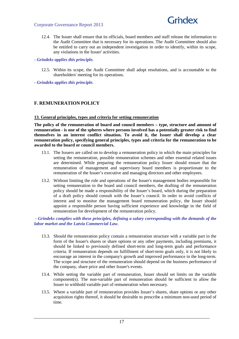

12.4. The Issuer shall ensure that its officials, board members and staff release the information to the Audit Committee that is necessary for its operations. The Audit Committee should also be entitled to carry out an independent investigation in order to identify, within its scope, any violations in the Issuer' activities.

#### *- Grindeks applies this principle.*

- 12.5. Within its scope, the Audit Committee shall adopt resolutions, and is accountable to the shareholders' meeting for its operations.
- *Grindeks applies this principle.*

#### **F. REMUNERATION POLICY**

#### **13. General principles, types and criteria for setting remuneration**

**The policy of the remuneration of board and council members – type, structure and amount of remuneration - is one of the spheres where persons involved has a potentially greater risk to find themselves in an interest conflict situation. To avoid it, the Issuer shall develop a clear remuneration policy, specifying general principles, types and criteria for the remuneration to be awarded to the board or council members.** 

- 13.1. The Issuers are called on to develop a remuneration policy in which the main principles for setting the remuneration, possible remuneration schemes and other essential related issues are determined. While preparing the remuneration policy Issuer should ensure that the remuneration of management and supervisory board members is proportionate to the remuneration of the Issuer's executive and managing directors and other employees.
- 13.2. Without limiting the role and operations of the Issuer's management bodies responsible for setting remuneration to the board and council members, the drafting of the remuneration policy should be made a responsibility of the Issuer's board, which during the preparation of a draft policy should consult with the Issuer's council. In order to avoid conflicts of interest and to monitor the management board remuneration policy, the Issuer should appoint a responsible person having sufficient experience and knowledge in the field of remuneration for development of the remuneration policy.

#### *- Grindeks complies with these principles, defining a salary corresponding with the demands of the labor market and the Latvia Commercial Law.*

- 13.3. Should the remuneration policy contain a remuneration structure with a variable part in the form of the Issuer's shares or share options or any other payments, including premiums, it should be linked to previously defined short-term and long-term goals and performance criteria. If remuneration depends on fulfillment of short-term goals only, it is not likely to encourage an interest in the company's growth and improved performance in the long-term. The scope and structure of the remuneration should depend on the business performance of the company, share price and other Issuer's events.
- 13.4. While setting the variable part of remuneration, Issuer should set limits on the variable component(s). The non-variable part of remuneration should be sufficient to allow the Issuer to withhold variable part of remuneration when necessary.
- 13.5. Where a variable part of remuneration provides Issuer's shares, share options or any other acquisition rights thereof, it should be desirable to prescribe a minimum non-used period of time.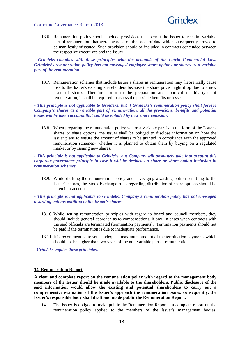

13.6. Remuneration policy should include provisions that permit the Issuer to reclaim variable part of remuneration that were awarded on the basis of data which subsequently proved to be manifestly misstated. Such provision should be included in contracts concluded between the respective executives and the Issuer.

*- Grindeks complies with these principles with the demands of the Latvia Commercial Law. Grindeks's remuneration policy has not envisaged employee share options or shares as a variable part of the remuneration.* 

13.7. Remuneration schemes that include Issuer's shares as remuneration may theoretically cause loss to the Issuer's existing shareholders because the share price might drop due to a new issue of shares. Therefore, prior to the preparation and approval of this type of remuneration, it shall be required to assess the possible benefits or losses.

*- This principle is not applicable to Grindeks, but if Grindeks's remuneration policy shall foresee Company's shares as a variable part of remuneration, all the provisions, benefits and potential losses will be taken account that could be entailed by new share emission.* 

13.8. When preparing the remuneration policy where a variable part is in the form of the Issuer's shares or share options, the Issuer shall be obliged to disclose information on how the Issuer plans to ensure the amount of shares to be granted in compliance with the approved remuneration schemes– whether it is planned to obtain them by buying on a regulated market or by issuing new shares.

*- This principle is not applicable to Grindeks, but Company will absolutely take into account this corporate governance principle in case it will be decided on share or share option inclusion in remuneration schemes.* 

13.9. While drafting the remuneration policy and envisaging awarding options entitling to the Issuer's shares, the Stock Exchange rules regarding distribution of share options should be taken into account.

#### *- This principle is not applicable to Grindeks. Company's remuneration policy has not envisaged awarding options entitling to the Issuer's shares.*

- 13.10. While setting remuneration principles with regard to board and council members, they should include general approach as to compensations, if any, in cases when contracts with the said officials are terminated (termination payments). Termination payments should not be paid if the termination is due to inadequate performance.
- 13.11. It is recommended to set an adequate maximum amount of the termination payments which should not be higher than two years of the non-variable part of remuneration.

*- Grindeks applies these principles.* 

#### **14. Remuneration Report**

**A clear and complete report on the remuneration policy with regard to the management body members of the Issuer should be made available to the shareholders. Public disclosure of the said information would allow the existing and potential shareholders to carry out a comprehensive evaluation of the Issuer's approach the remuneration issues; consequently, the Issuer's responsible body shall draft and made public the Remuneration Report.** 

14.1. The Issuer is obliged to make public the Remuneration Report – a complete report on the remuneration policy applied to the members of the Issuer's management bodies.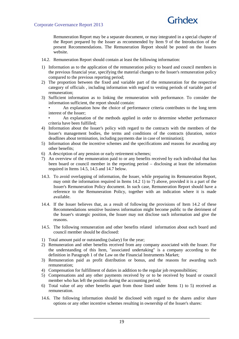

Remuneration Report may be a separate document, or may integrated in a special chapter of the Report prepared by the Issuer as recommended by Item 9 of the Introduction of the present Recommendations. The Remuneration Report should be posted on the Issuers website.

- 14.2. Remuneration Report should contain at least the following information:
- 1) Information as to the application of the remuneration policy to board and council members in the previous financial year, specifying the material changes to the Issuer's remuneration policy compared to the previous reporting period;
- 2) The proportion between the fixed and variable part of the remuneration for the respective category of officials , including information with regard to vesting periods of variable part of remuneration;
- 3) Sufficient information as to linking the remuneration with performance. To consider the information sufficient, the report should contain:

• An explanation how the choice of performance criteria contributes to the long term interest of the Issuer;

• An explanation of the methods applied in order to determine whether performance criteria have been fulfilled;

- 4) Information about the Issuer's policy with regard to the contracts with the members of the Issuer's management bodies, the terms and conditions of the contracts (duration, notice deadlines about termination, including payments due in case of termination);
- 5) Information about the incentive schemes and the specifications and reasons for awarding any other benefits;
- 6) A description of any pension or early retirement schemes;
- 7) An overview of the remuneration paid to or any benefits received by each individual that has been board or council member in the reporting period – disclosing at least the information required in Items 14.5, 14.5 and 14.7 below.
- 14.3. To avoid overlapping of information, the Issuer, while preparing its Remuneration Report, may omit the information required in Items 14.2 1) to 7) above, provided it is a part of the Issuer's Remuneration Policy document. In such case, Remuneration Report should have a reference to the Remuneration Policy, together with an indication where it is made available.
- 14.4. If the Issuer believes that, as a result of following the provisions of Item 14.2 of these Recommendations sensitive business information might become public to the detriment of the Issuer's strategic position, the Issuer may not disclose such information and give the reasons.
- 14.5. The following remuneration and other benefits related information about each board and council member should be disclosed:
- 1) Total amount paid or outstanding (salary) for the year;
- 2) Remuneration and other benefits received from any company associated with the Issuer. For the understanding of this Item, "associated undertaking" is a company according to the definition in Paragraph 1 of the Law on the Financial Instruments Market;
- 3) Remuneration paid as profit distribution or bonus, and the reasons for awarding such remuneration;
- 4) Compensation for fulfillment of duties in addition to the regular job responsibilities;
- 5) Compensations and any other payments received by or to be received by board or council member who has left the position during the accounting period;
- 6) Total value of any other benefits apart from those listed under Items 1) to 5) received as remuneration.
- 14.6. The following information should be disclosed with regard to the shares and/or share options or any other incentive schemes resulting in ownership of the Issuer's shares: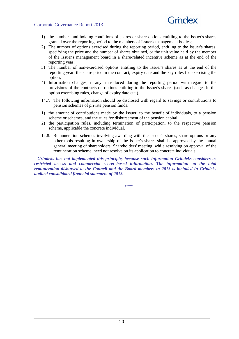## Grndex

- 1) the number and holding conditions of shares or share options entitling to the Issuer's shares granted over the reporting period to the members of Issuer's management bodies;
- 2) The number of options exercised during the reporting period, entitling to the Issuer's shares, specifying the price and the number of shares obtained, or the unit value held by the member of the Issuer's management board in a share-related incentive scheme as at the end of the reporting year;
- 3) The number of non-exercised options entitling to the Issuer's shares as at the end of the reporting year, the share price in the contract, expiry date and the key rules for exercising the option;
- 4) Information changes, if any, introduced during the reporting period with regard to the provisions of the contracts on options entitling to the Issuer's shares (such as changes in the option exercising rules, change of expiry date etc.).
- 14.7. The following information should be disclosed with regard to savings or contributions to pension schemes of private pension funds:
- 1) the amount of contributions made by the Issuer, to the benefit of individuals, to a pension scheme or schemes, and the rules for disbursement of the pension capital;
- 2) the participation rules, including termination of participation, to the respective pension scheme, applicable the concrete individual.
- 14.8. Remuneration schemes involving awarding with the Issuer's shares, share options or any other tools resulting in ownership of the Issuer's shares shall be approved by the annual general meeting of shareholders. Shareholders' meeting, while resolving on approval of the remuneration scheme, need not resolve on its application to concrete individuals.

*- Grindeks has not implemented this principle, because such information Grindeks considers as restricted access and commercial secret–based information. The information on the total remuneration disbursed to the Council and the Board members in 2013 is included in Grindeks audited consolidated financial statement of 2013.* 

\*\*\*\*\*